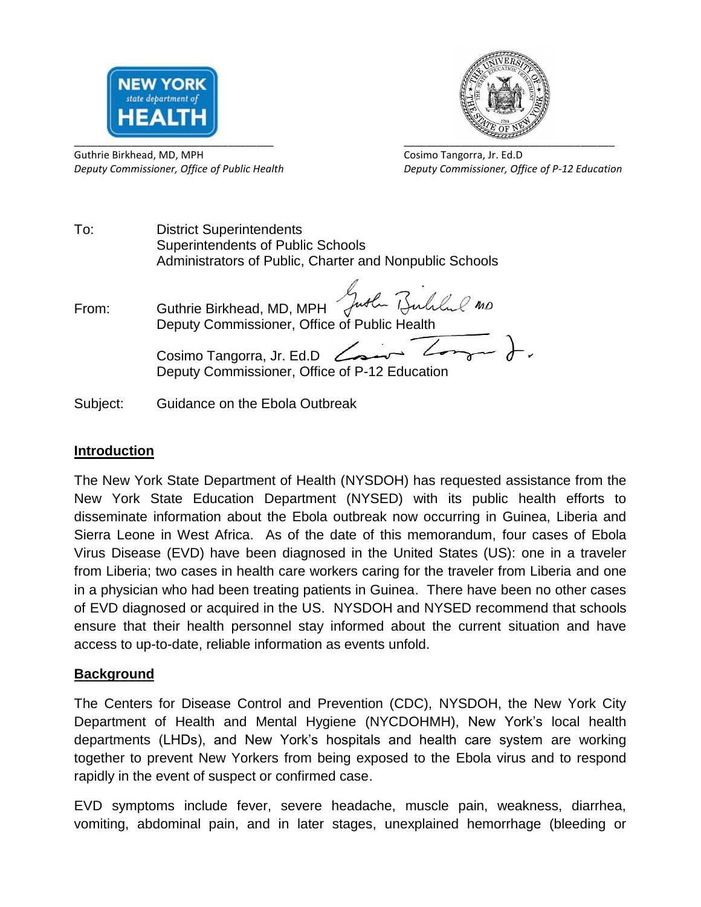



Guthrie Birkhead, MD, MPH Cosimo Tangorra, Jr. Ed.D

*Deputy Commissioner, Office of Public Health Deputy Commissioner, Office of P-12 Education*

To: District Superintendents Superintendents of Public Schools Administrators of Public, Charter and Nonpublic Schools

From: Guthrie Birkhead, MD, MPH Juster Bulled no Deputy Commissioner, Office of Public Health Cosimo Tangorra, Jr. Ed.D <del>Cosin</del> Zong + Deputy Commissioner, Office of P-12 Education

Subject: Guidance on the Ebola Outbreak

## **Introduction**

The New York State Department of Health (NYSDOH) has requested assistance from the New York State Education Department (NYSED) with its public health efforts to disseminate information about the Ebola outbreak now occurring in Guinea, Liberia and Sierra Leone in West Africa. As of the date of this memorandum, four cases of Ebola Virus Disease (EVD) have been diagnosed in the United States (US): one in a traveler from Liberia; two cases in health care workers caring for the traveler from Liberia and one in a physician who had been treating patients in Guinea. There have been no other cases of EVD diagnosed or acquired in the US. NYSDOH and NYSED recommend that schools ensure that their health personnel stay informed about the current situation and have access to up-to-date, reliable information as events unfold.

## **Background**

The Centers for Disease Control and Prevention (CDC), NYSDOH, the New York City Department of Health and Mental Hygiene (NYCDOHMH), New York's local health departments (LHDs), and New York's hospitals and health care system are working together to prevent New Yorkers from being exposed to the Ebola virus and to respond rapidly in the event of suspect or confirmed case.

EVD symptoms include fever, severe headache, muscle pain, weakness, diarrhea, vomiting, abdominal pain, and in later stages, unexplained hemorrhage (bleeding or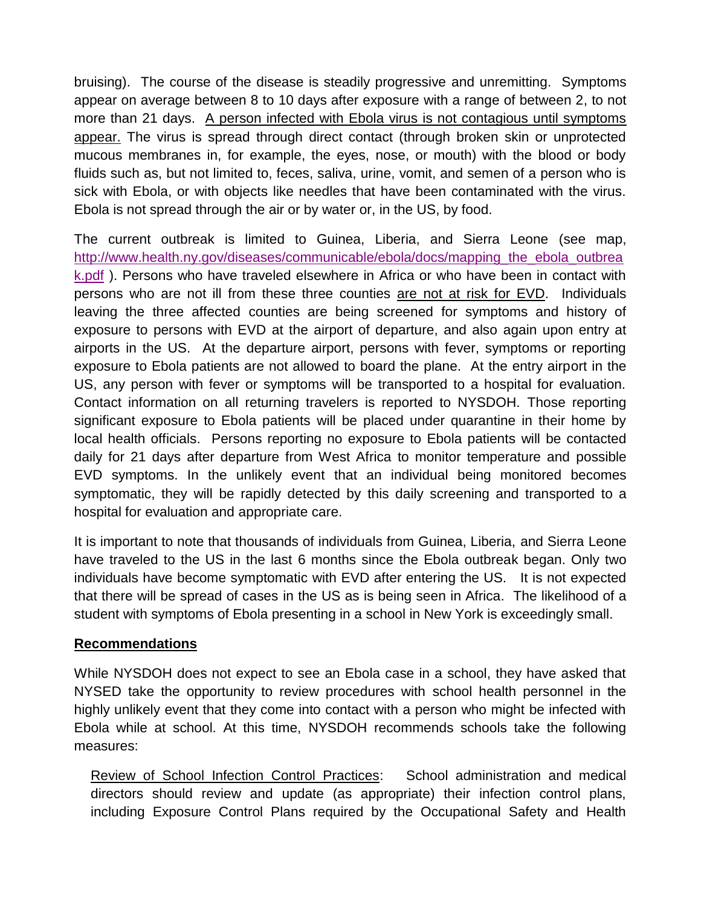bruising). The course of the disease is steadily progressive and unremitting. Symptoms appear on average between 8 to 10 days after exposure with a range of between 2, to not more than 21 days. A person infected with Ebola virus is not contagious until symptoms appear. The virus is spread through direct contact (through broken skin or unprotected mucous membranes in, for example, the eyes, nose, or mouth) with the blood or body fluids such as, but not limited to, feces, saliva, urine, vomit, and semen of a person who is sick with Ebola, or with objects like needles that have been contaminated with the virus. Ebola is not spread through the air or by water or, in the US, by food.

The current outbreak is limited to Guinea, Liberia, and Sierra Leone (see map, [http://www.health.ny.gov/diseases/communicable/ebola/docs/mapping\\_the\\_ebola\\_outbrea](http://www.health.ny.gov/diseases/communicable/ebola/docs/mapping_the_ebola_outbreak.pdf) [k.pdf](http://www.health.ny.gov/diseases/communicable/ebola/docs/mapping_the_ebola_outbreak.pdf) ). Persons who have traveled elsewhere in Africa or who have been in contact with persons who are not ill from these three counties are not at risk for EVD. Individuals leaving the three affected counties are being screened for symptoms and history of exposure to persons with EVD at the airport of departure, and also again upon entry at airports in the US. At the departure airport, persons with fever, symptoms or reporting exposure to Ebola patients are not allowed to board the plane. At the entry airport in the US, any person with fever or symptoms will be transported to a hospital for evaluation. Contact information on all returning travelers is reported to NYSDOH. Those reporting significant exposure to Ebola patients will be placed under quarantine in their home by local health officials. Persons reporting no exposure to Ebola patients will be contacted daily for 21 days after departure from West Africa to monitor temperature and possible EVD symptoms. In the unlikely event that an individual being monitored becomes symptomatic, they will be rapidly detected by this daily screening and transported to a hospital for evaluation and appropriate care.

It is important to note that thousands of individuals from Guinea, Liberia, and Sierra Leone have traveled to the US in the last 6 months since the Ebola outbreak began. Only two individuals have become symptomatic with EVD after entering the US. It is not expected that there will be spread of cases in the US as is being seen in Africa. The likelihood of a student with symptoms of Ebola presenting in a school in New York is exceedingly small.

## **Recommendations**

While NYSDOH does not expect to see an Ebola case in a school, they have asked that NYSED take the opportunity to review procedures with school health personnel in the highly unlikely event that they come into contact with a person who might be infected with Ebola while at school. At this time, NYSDOH recommends schools take the following measures:

Review of School Infection Control Practices: School administration and medical directors should review and update (as appropriate) their infection control plans, including Exposure Control Plans required by the Occupational Safety and Health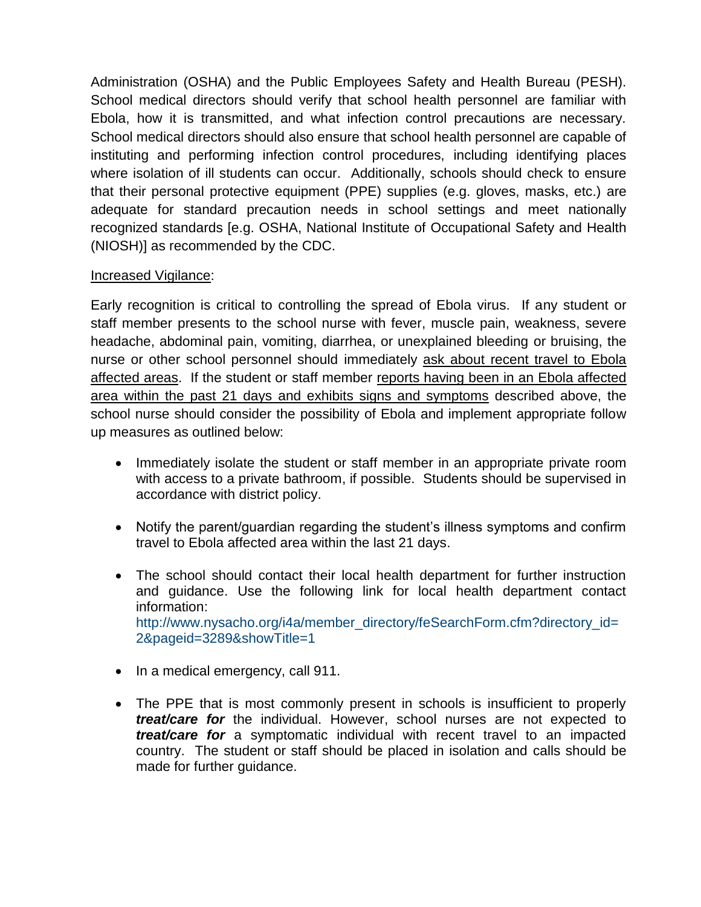Administration (OSHA) and the Public Employees Safety and Health Bureau (PESH). School medical directors should verify that school health personnel are familiar with Ebola, how it is transmitted, and what infection control precautions are necessary. School medical directors should also ensure that school health personnel are capable of instituting and performing infection control procedures, including identifying places where isolation of ill students can occur. Additionally, schools should check to ensure that their personal protective equipment (PPE) supplies (e.g. gloves, masks, etc.) are adequate for standard precaution needs in school settings and meet nationally recognized standards [e.g. OSHA, National Institute of Occupational Safety and Health (NIOSH)] as recommended by the CDC.

## Increased Vigilance:

Early recognition is critical to controlling the spread of Ebola virus. If any student or staff member presents to the school nurse with fever, muscle pain, weakness, severe headache, abdominal pain, vomiting, diarrhea, or unexplained bleeding or bruising, the nurse or other school personnel should immediately ask about recent travel to Ebola affected areas. If the student or staff member reports having been in an Ebola affected area within the past 21 days and exhibits signs and symptoms described above, the school nurse should consider the possibility of Ebola and implement appropriate follow up measures as outlined below:

- Immediately isolate the student or staff member in an appropriate private room with access to a private bathroom, if possible. Students should be supervised in accordance with district policy.
- Notify the parent/guardian regarding the student's illness symptoms and confirm travel to Ebola affected area within the last 21 days.
- The school should contact their local health department for further instruction and guidance. Use the following link for local health department contact information: [http://www.nysacho.org/i4a/member\\_directory/feSearchForm.cfm?directory\\_id=](http://www.nysacho.org/i4a/member_directory/feSearchForm.cfm?directory_id=2&pageid=3289&showTitle=1) [2&pageid=3289&showTitle=1](http://www.nysacho.org/i4a/member_directory/feSearchForm.cfm?directory_id=2&pageid=3289&showTitle=1)
- In a medical emergency, call 911.
- The PPE that is most commonly present in schools is insufficient to properly *treat/care for* the individual. However, school nurses are not expected to *treat/care for* a symptomatic individual with recent travel to an impacted country. The student or staff should be placed in isolation and calls should be made for further guidance.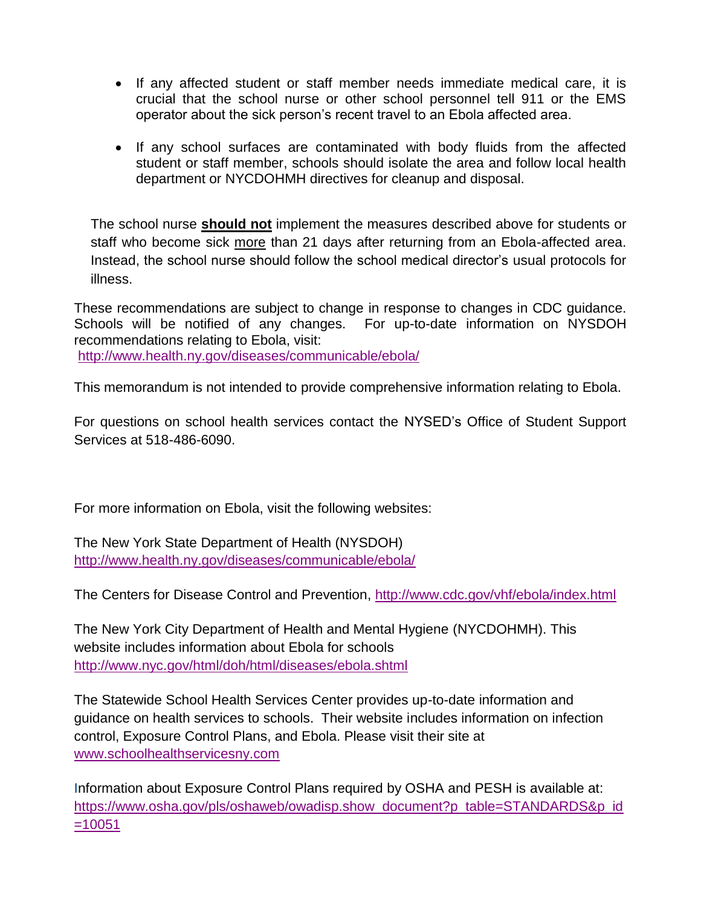- If any affected student or staff member needs immediate medical care, it is crucial that the school nurse or other school personnel tell 911 or the EMS operator about the sick person's recent travel to an Ebola affected area.
- If any school surfaces are contaminated with body fluids from the affected student or staff member, schools should isolate the area and follow local health department or NYCDOHMH directives for cleanup and disposal.

The school nurse **should not** implement the measures described above for students or staff who become sick more than 21 days after returning from an Ebola-affected area. Instead, the school nurse should follow the school medical director's usual protocols for illness.

These recommendations are subject to change in response to changes in CDC guidance. Schools will be notified of any changes. For up-to-date information on NYSDOH recommendations relating to Ebola, visit: <http://www.health.ny.gov/diseases/communicable/ebola/>

This memorandum is not intended to provide comprehensive information relating to Ebola.

For questions on school health services contact the NYSED's Office of Student Support Services at 518-486-6090.

For more information on Ebola, visit the following websites:

The New York State Department of Health (NYSDOH) <http://www.health.ny.gov/diseases/communicable/ebola/>

The Centers for Disease Control and Prevention,<http://www.cdc.gov/vhf/ebola/index.html>

The New York City Department of Health and Mental Hygiene (NYCDOHMH). This website includes information about Ebola for schools <http://www.nyc.gov/html/doh/html/diseases/ebola.shtml>

The Statewide School Health Services Center provides up-to-date information and guidance on health services to schools. Their website includes information on infection control, Exposure Control Plans, and Ebola. Please visit their site at [www.schoolhealthservicesny.com](http://www.schoolhealthservicesny.com/)

Information about Exposure Control Plans required by OSHA and PESH is available at: [https://www.osha.gov/pls/oshaweb/owadisp.show\\_document?p\\_table=STANDARDS&p\\_id](https://www.osha.gov/pls/oshaweb/owadisp.show_document?p_table=STANDARDS&p_id=10051) [=10051](https://www.osha.gov/pls/oshaweb/owadisp.show_document?p_table=STANDARDS&p_id=10051)